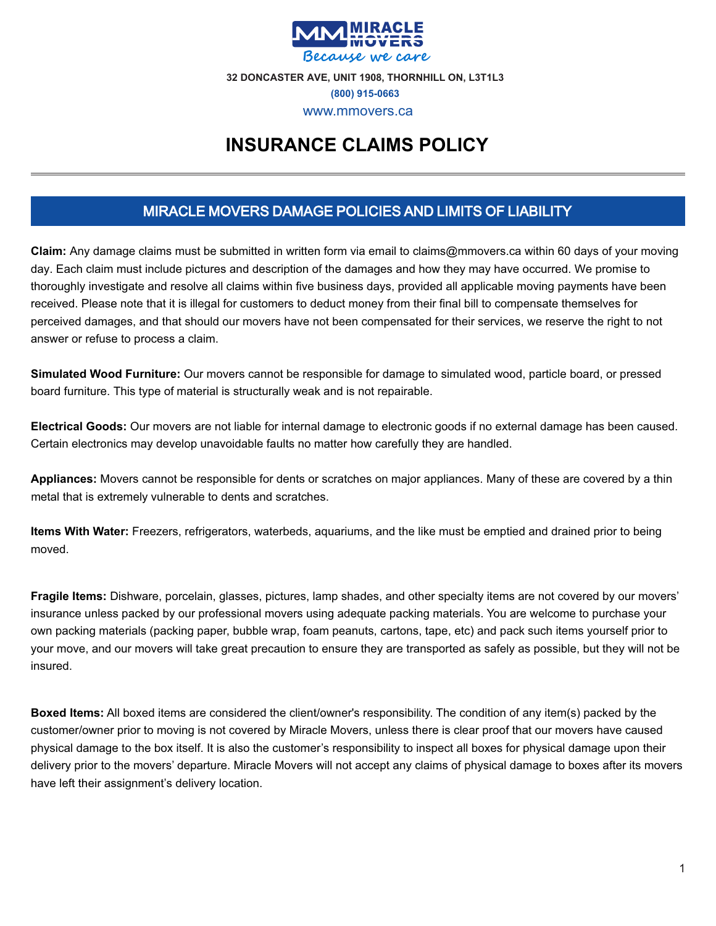

# **INSURANCE CLAIMS POLICY**

## MIRACLE MOVERS DAMAGE POLICIES AND LIMITS OF LIABILITY

**Claim:** Any damage claims must be submitted in written form via email to claims@mmovers.ca within 60 days of your moving day. Each claim must include pictures and description of the damages and how they may have occurred. We promise to thoroughly investigate and resolve all claims within five business days, provided all applicable moving payments have been received. Please note that it is illegal for customers to deduct money from their final bill to compensate themselves for perceived damages, and that should our movers have not been compensated for their services, we reserve the right to not answer or refuse to process a claim.

**Simulated Wood Furniture:** Our movers cannot be responsible for damage to simulated wood, particle board, or pressed board furniture. This type of material is structurally weak and is not repairable.

**Electrical Goods:** Our movers are not liable for internal damage to electronic goods if no external damage has been caused. Certain electronics may develop unavoidable faults no matter how carefully they are handled.

**Appliances:** Movers cannot be responsible for dents or scratches on major appliances. Many of these are covered by a thin metal that is extremely vulnerable to dents and scratches.

**Items With Water:** Freezers, refrigerators, waterbeds, aquariums, and the like must be emptied and drained prior to being moved.

**Fragile Items:** Dishware, porcelain, glasses, pictures, lamp shades, and other specialty items are not covered by our movers' insurance unless packed by our professional movers using adequate packing materials. You are welcome to purchase your own packing materials (packing paper, bubble wrap, foam peanuts, cartons, tape, etc) and pack such items yourself prior to your move, and our movers will take great precaution to ensure they are transported as safely as possible, but they will not be insured.

**Boxed Items:** All boxed items are considered the client/owner's responsibility. The condition of any item(s) packed by the customer/owner prior to moving is not covered by Miracle Movers, unless there is clear proof that our movers have caused physical damage to the box itself. It is also the customer's responsibility to inspect all boxes for physical damage upon their delivery prior to the movers' departure. Miracle Movers will not accept any claims of physical damage to boxes after its movers have left their assignment's delivery location.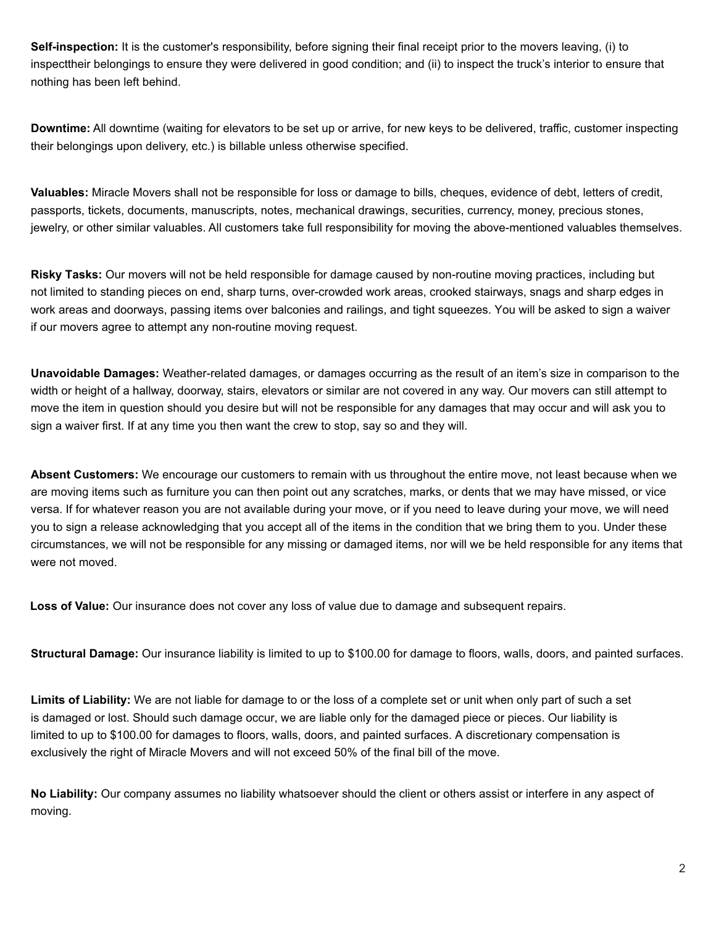**Self-inspection:** It is the customer's responsibility, before signing their final receipt prior to the movers leaving, (i) to inspecttheir belongings to ensure they were delivered in good condition; and (ii) to inspect the truck's interior to ensure that nothing has been left behind.

**Downtime:** All downtime (waiting for elevators to be set up or arrive, for new keys to be delivered, traffic, customer inspecting their belongings upon delivery, etc.) is billable unless otherwise specified.

**Valuables:** Miracle Movers shall not be responsible for loss or damage to bills, cheques, evidence of debt, letters of credit, passports, tickets, documents, manuscripts, notes, mechanical drawings, securities, currency, money, precious stones, jewelry, or other similar valuables. All customers take full responsibility for moving the above-mentioned valuables themselves.

**Risky Tasks:** Our movers will not be held responsible for damage caused by non-routine moving practices, including but not limited to standing pieces on end, sharp turns, over-crowded work areas, crooked stairways, snags and sharp edges in work areas and doorways, passing items over balconies and railings, and tight squeezes. You will be asked to sign a waiver if our movers agree to attempt any non-routine moving request.

**Unavoidable Damages:** Weather-related damages, or damages occurring as the result of an item's size in comparison to the width or height of a hallway, doorway, stairs, elevators or similar are not covered in any way. Our movers can still attempt to move the item in question should you desire but will not be responsible for any damages that may occur and will ask you to sign a waiver first. If at any time you then want the crew to stop, say so and they will.

**Absent Customers:** We encourage our customers to remain with us throughout the entire move, not least because when we are moving items such as furniture you can then point out any scratches, marks, or dents that we may have missed, or vice versa. If for whatever reason you are not available during your move, or if you need to leave during your move, we will need you to sign a release acknowledging that you accept all of the items in the condition that we bring them to you. Under these circumstances, we will not be responsible for any missing or damaged items, nor will we be held responsible for any items that were not moved.

**Loss of Value:** Our insurance does not cover any loss of value due to damage and subsequent repairs.

**Structural Damage:** Our insurance liability is limited to up to \$100.00 for damage to floors, walls, doors, and painted surfaces.

**Limits of Liability:** We are not liable for damage to or the loss of a complete set or unit when only part of such a set is damaged or lost. Should such damage occur, we are liable only for the damaged piece or pieces. Our liability is limited to up to \$100.00 for damages to floors, walls, doors, and painted surfaces. A discretionary compensation is exclusively the right of Miracle Movers and will not exceed 50% of the final bill of the move.

**No Liability:** Our company assumes no liability whatsoever should the client or others assist or interfere in any aspect of moving.